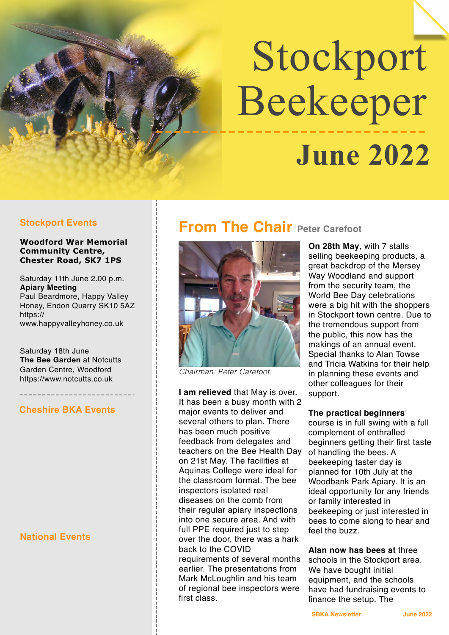# Stockport Beekeeper  **June 2022**

### **Woodford War Memorial Community Centre, Chester Road, SK7 1PS**

Saturday 11th June 2.00 p.m. **Apiary Meeting** Paul Beardmore, Happy Valley Honey, Endon Quarry SK10 5AZ [https://](https://www.happyvalleyhoney.co.uk) [www.happyvalleyhoney.co.uk](https://www.happyvalleyhoney.co.uk)

Saturday 18th June **The Bee Garden** at Notcutts Garden Centre, Woodford <https://www.notcutts.co.uk>

# **Cheshire BKA Events**

# **National Events**

# **Stockport Events From The Chair Peter Carefoot**



*Chairman: Peter Carefoot*

**I am relieved** that May is over. It has been a busy month with 2 major events to deliver and several others to plan. There has been much positive feedback from delegates and teachers on the Bee Health Day on 21st May. The facilities at Aquinas College were ideal for the classroom format. The bee inspectors isolated real diseases on the comb from their regular apiary inspections into one secure area. And with full PPE required just to step over the door, there was a hark back to the COVID requirements of several months earlier. The presentations from

Mark McLoughlin and his team of regional bee inspectors were first class.

**On 28th May**, with 7 stalls selling beekeeping products, a great backdrop of the Mersey Way Woodland and support from the security team, the World Bee Day celebrations were a big hit with the shoppers in Stockport town centre. Due to the tremendous support from the public, this now has the makings of an annual event. Special thanks to Alan Towse and Tricia Watkins for their help in planning these events and other colleagues for their support.

# **The practical beginners**'

course is in full swing with a full complement of enthralled beginners getting their first taste of handling the bees. A beekeeping taster day is planned for 10th July at the Woodbank Park Apiary. It is an ideal opportunity for any friends or family interested in beekeeping or just interested in bees to come along to hear and feel the buzz.

**Alan now has bees at** three schools in the Stockport area. We have bought initial equipment, and the schools have had fundraising events to finance the setup. The

**SBKA Newsletter Manual SBKA Newsletter Manual State June 2022**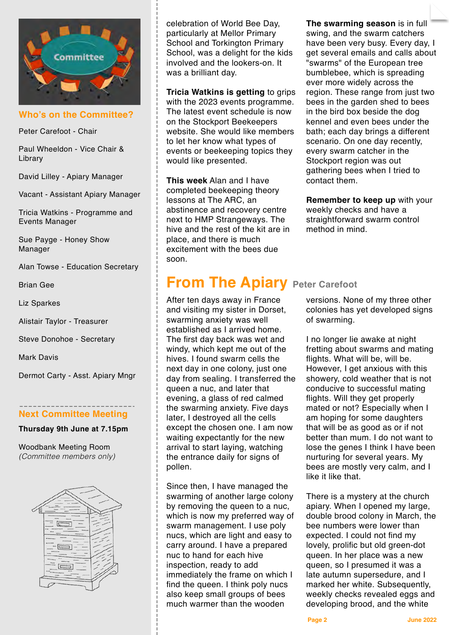

**Who's on the Committee?**

Peter Carefoot - Chair

Paul Wheeldon - Vice Chair & Library

David Lilley - Apiary Manager

Vacant - Assistant Apiary Manager

Tricia Watkins - Programme and Events Manager

Sue Payge - Honey Show Manager

Alan Towse - Education Secretary

Brian Gee

Liz Sparkes

Alistair Taylor - Treasurer

Steve Donohoe - Secretary

Mark Davis

Dermot Carty - Asst. Apiary Mngr

# **Next Committee Meeting**

**Thursday 9th June at 7.15pm**

Woodbank Meeting Room *(Committee members only)*



celebration of World Bee Day, particularly at Mellor Primary School and Torkington Primary School, was a delight for the kids involved and the lookers-on. It was a brilliant day.

**Tricia Watkins is getting** to grips with the 2023 events programme. The latest event schedule is now on the Stockport Beekeepers website. She would like members to let her know what types of events or beekeeping topics they would like presented.

**This week** Alan and I have completed beekeeping theory lessons at The ARC, an abstinence and recovery centre next to HMP Strangeways. The hive and the rest of the kit are in place, and there is much excitement with the bees due soon.

# **From The Apiary Peter Carefoot**

After ten days away in France and visiting my sister in Dorset, swarming anxiety was well established as I arrived home. The first day back was wet and windy, which kept me out of the hives. I found swarm cells the next day in one colony, just one day from sealing. I transferred the queen a nuc, and later that evening, a glass of red calmed the swarming anxiety. Five days later, I destroyed all the cells except the chosen one. I am now waiting expectantly for the new arrival to start laying, watching the entrance daily for signs of pollen.

Since then, I have managed the swarming of another large colony by removing the queen to a nuc, which is now my preferred way of swarm management. I use poly nucs, which are light and easy to carry around. I have a prepared nuc to hand for each hive inspection, ready to add immediately the frame on which I find the queen. I think poly nucs also keep small groups of bees much warmer than the wooden

**The swarming season** is in full swing, and the swarm catchers have been very busy. Every day, I get several emails and calls about "swarms" of the European tree bumblebee, which is spreading ever more widely across the region. These range from just two bees in the garden shed to bees in the bird box beside the dog kennel and even bees under the bath; each day brings a different scenario. On one day recently, every swarm catcher in the Stockport region was out gathering bees when I tried to contact them.

**Remember to keep up** with your weekly checks and have a straightforward swarm control method in mind.

versions. None of my three other colonies has yet developed signs of swarming.

I no longer lie awake at night fretting about swarms and mating flights. What will be, will be. However, I get anxious with this showery, cold weather that is not conducive to successful mating flights. Will they get properly mated or not? Especially when I am hoping for some daughters that will be as good as or if not better than mum. I do not want to lose the genes I think I have been nurturing for several years. My bees are mostly very calm, and I like it like that.

There is a mystery at the church apiary. When I opened my large, double brood colony in March, the bee numbers were lower than expected. I could not find my lovely, prolific but old green-dot queen. In her place was a new queen, so I presumed it was a late autumn supersedure, and I marked her white. Subsequently, weekly checks revealed eggs and developing brood, and the white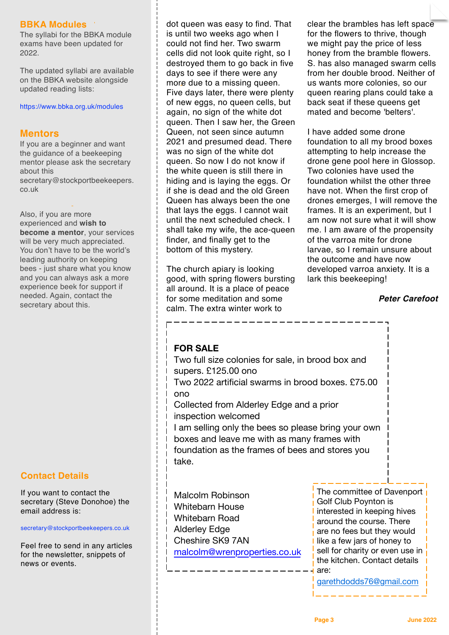# **BBKA Modules**

The syllabi for the BBKA module exams have been updated for 2022.

The updated syllabi are available on the BBKA website alongside updated reading lists:

<https://www.bbka.org.uk/modules>

# **Mentors**

If you are a beginner and want the guidance of a beekeeping mentor please ask the secretary about this [secretary@stockportbeekeepers.](mailto:secretary@stockportbeekeepers.co.uk) [co.uk](mailto:secretary@stockportbeekeepers.co.uk)

Also, if you are more experienced and **wish to become a mentor**, your services will be very much appreciated. You don't have to be the world's leading authority on keeping bees - just share what you know and you can always ask a more experience beek for support if needed. Again, contact the secretary about this.

# **Contact Details**

If you want to contact the secretary (Steve Donohoe) the email address is:

[secretary@stockportbeekeepers.co.uk](mailto:secretary@stockportbeekeepers.co.uk)

Feel free to send in any articles for the newsletter, snippets of news or events.

dot queen was easy to find. That is until two weeks ago when I could not find her. Two swarm cells did not look quite right, so I destroyed them to go back in five days to see if there were any more due to a missing queen. Five days later, there were plenty of new eggs, no queen cells, but again, no sign of the white dot queen. Then I saw her, the Green Queen, not seen since autumn 2021 and presumed dead. There was no sign of the white dot queen. So now I do not know if the white queen is still there in hiding and is laying the eggs. Or if she is dead and the old Green Queen has always been the one that lays the eggs. I cannot wait until the next scheduled check. I shall take my wife, the ace-queen finder, and finally get to the bottom of this mystery.

The church apiary is looking good, with spring flowers bursting all around. It is a place of peace for some meditation and some calm. The extra winter work to

clear the brambles has left space for the flowers to thrive, though we might pay the price of less honey from the bramble flowers. S. has also managed swarm cells from her double brood. Neither of us wants more colonies, so our queen rearing plans could take a back seat if these queens get mated and become 'belters'.

I have added some drone foundation to all my brood boxes attempting to help increase the drone gene pool here in Glossop. Two colonies have used the foundation whilst the other three have not. When the first crop of drones emerges, I will remove the frames. It is an experiment, but I am now not sure what it will show me. I am aware of the propensity of the varroa mite for drone larvae, so I remain unsure about the outcome and have now developed varroa anxiety. It is a lark this beekeeping!

# *Peter Carefoot*